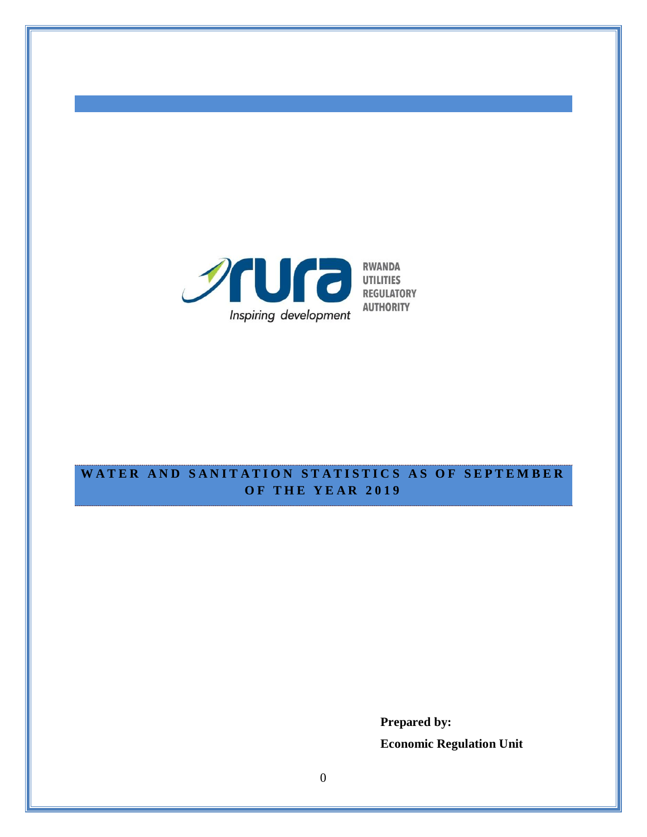

# WATER AND SANITATION STATISTICS AS OF SEPTEMBER **O F T H E Y E A R 201 9**

**Prepared by: Economic Regulation Unit**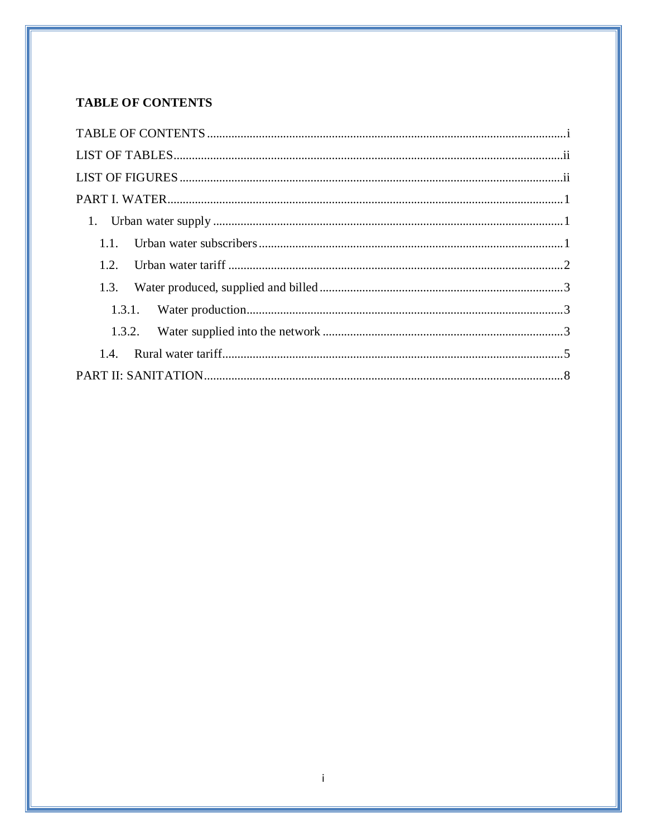# <span id="page-1-0"></span>**TABLE OF CONTENTS**

| 1.2  |  |
|------|--|
| 1.3. |  |
|      |  |
|      |  |
|      |  |
|      |  |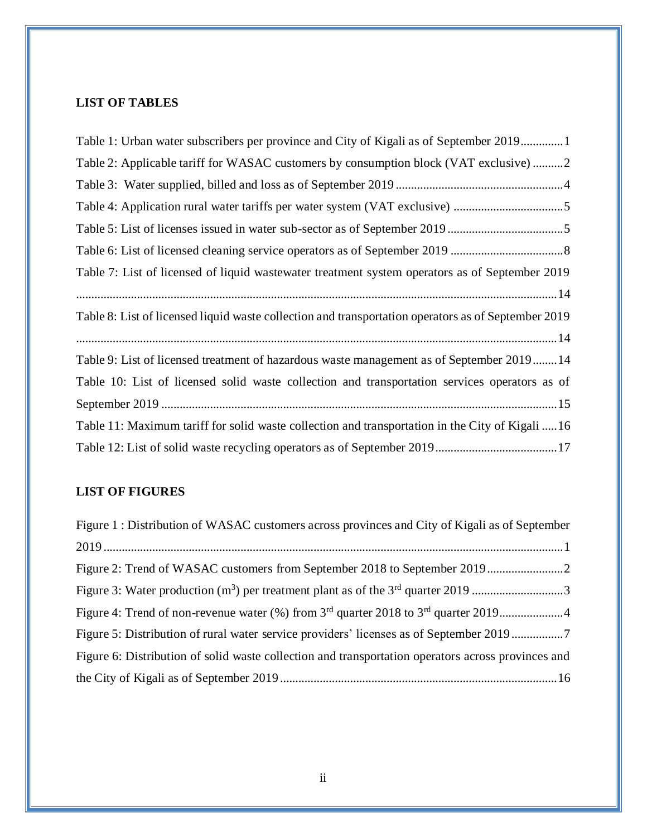## <span id="page-2-0"></span>**LIST OF TABLES**

| Table 1: Urban water subscribers per province and City of Kigali as of September 20191              |
|-----------------------------------------------------------------------------------------------------|
| Table 2: Applicable tariff for WASAC customers by consumption block (VAT exclusive) 2               |
|                                                                                                     |
| Table 4: Application rural water tariffs per water system (VAT exclusive) 5                         |
|                                                                                                     |
|                                                                                                     |
| Table 7: List of licensed of liquid wastewater treatment system operators as of September 2019      |
|                                                                                                     |
| Table 8: List of licensed liquid waste collection and transportation operators as of September 2019 |
|                                                                                                     |
| Table 9: List of licensed treatment of hazardous waste management as of September 201914            |
| Table 10: List of licensed solid waste collection and transportation services operators as of       |
|                                                                                                     |
| Table 11: Maximum tariff for solid waste collection and transportation in the City of Kigali  16    |
|                                                                                                     |

# <span id="page-2-1"></span>**LIST OF FIGURES**

| Figure 1 : Distribution of WASAC customers across provinces and City of Kigali as of September     |
|----------------------------------------------------------------------------------------------------|
|                                                                                                    |
|                                                                                                    |
| Figure 3: Water production $(m^3)$ per treatment plant as of the $3rd$ quarter 2019 3              |
|                                                                                                    |
| Figure 5: Distribution of rural water service providers' licenses as of September 2019             |
| Figure 6: Distribution of solid waste collection and transportation operators across provinces and |
|                                                                                                    |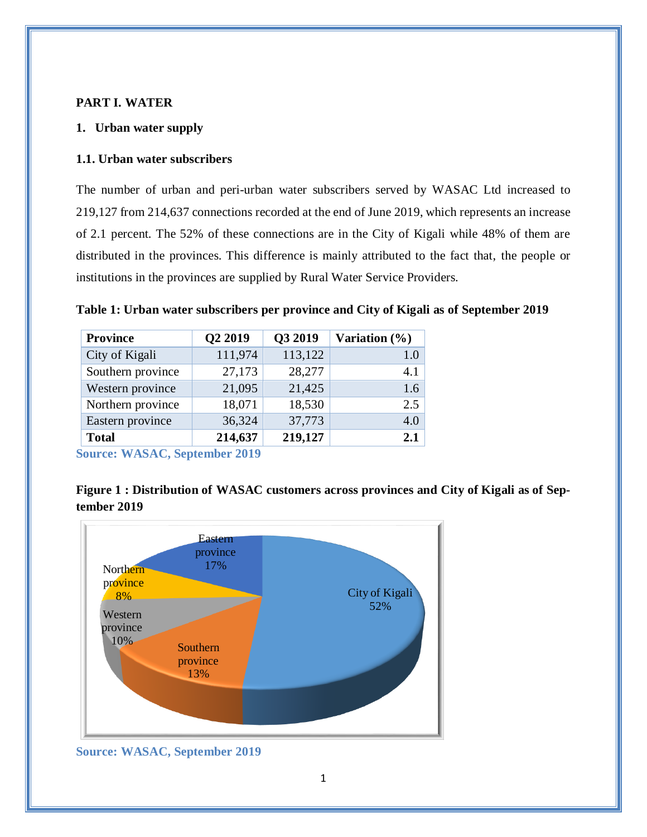### <span id="page-3-0"></span>**PART I. WATER**

#### <span id="page-3-1"></span>**1. Urban water supply**

#### <span id="page-3-2"></span>**1.1. Urban water subscribers**

The number of urban and peri-urban water subscribers served by WASAC Ltd increased to 219,127 from 214,637 connections recorded at the end of June 2019, which represents an increase of 2.1 percent. The 52% of these connections are in the City of Kigali while 48% of them are distributed in the provinces. This difference is mainly attributed to the fact that, the people or institutions in the provinces are supplied by Rural Water Service Providers.

<span id="page-3-3"></span>

| <b>Province</b>   | Q2 2019 | Q3 2019 | Variation $(\% )$ |
|-------------------|---------|---------|-------------------|
| City of Kigali    | 111,974 | 113,122 | 1.0               |
| Southern province | 27,173  | 28,277  | 4.1               |
| Western province  | 21,095  | 21,425  | 1.6               |
| Northern province | 18,071  | 18,530  | 2.5               |
| Eastern province  | 36,324  | 37,773  | 4.0               |
| <b>Total</b>      | 214,637 | 219,127 | 2.1               |

**Source: WASAC, September 2019**

<span id="page-3-4"></span>**Figure 1 : Distribution of WASAC customers across provinces and City of Kigali as of September 2019**



**Source: WASAC, September 2019**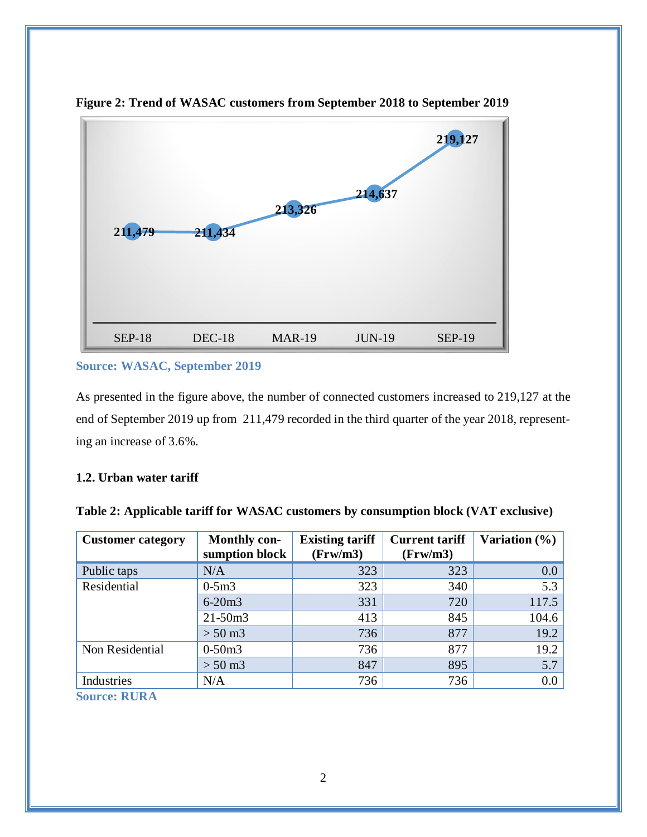

<span id="page-4-2"></span>**Figure 2: Trend of WASAC customers from September 2018 to September 2019**

#### **Source: WASAC, September 2019**

As presented in the figure above, the number of connected customers increased to 219,127 at the end of September 2019 up from 211,479 recorded in the third quarter of the year 2018, representing an increase of 3.6%.

### <span id="page-4-0"></span>**1.2. Urban water tariff**

| <b>Customer category</b> | <b>Monthly con-</b><br>sumption block | <b>Existing tariff</b><br>(Frw/m3) | <b>Current tariff</b><br>(Frw/m3) | Variation (%) |
|--------------------------|---------------------------------------|------------------------------------|-----------------------------------|---------------|
| Public taps              | N/A                                   | 323                                | 323                               | 0.0           |
| Residential              | $0-5m3$                               | 323                                | 340                               | 5.3           |
|                          | $6 - 20m3$                            | 331                                | 720                               | 117.5         |
|                          | $21 - 50m3$                           | 413                                | 845                               | 104.6         |
|                          | $> 50 \text{ m}$ 3                    | 736                                | 877                               | 19.2          |
| Non Residential          | $0-50m3$                              | 736                                | 877                               | 19.2          |
|                          | $> 50 \text{ m}$ 3                    | 847                                | 895                               | 5.7           |
| Industries               | N/A                                   | 736                                | 736                               | 0.0           |

<span id="page-4-1"></span>

|  | Table 2: Applicable tariff for WASAC customers by consumption block (VAT exclusive) |
|--|-------------------------------------------------------------------------------------|
|  |                                                                                     |

**Source: RURA**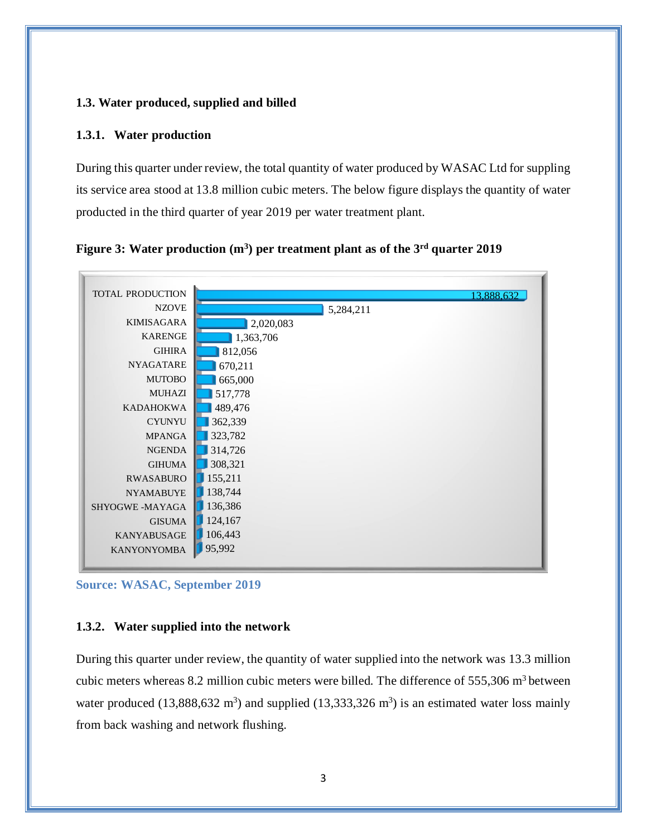### <span id="page-5-0"></span>**1.3. Water produced, supplied and billed**

#### <span id="page-5-1"></span>**1.3.1. Water production**

During this quarter under review, the total quantity of water produced by WASAC Ltd for suppling its service area stood at 13.8 million cubic meters. The below figure displays the quantity of water producted in the third quarter of year 2019 per water treatment plant.

<span id="page-5-3"></span>



**Source: WASAC, September 2019**

#### <span id="page-5-2"></span>**1.3.2. Water supplied into the network**

During this quarter under review, the quantity of water supplied into the network was 13.3 million cubic meters whereas 8.2 million cubic meters were billed. The difference of  $555,306$  m<sup>3</sup> between water produced (13,888,632 m<sup>3</sup>) and supplied (13,333,326 m<sup>3</sup>) is an estimated water loss mainly from back washing and network flushing.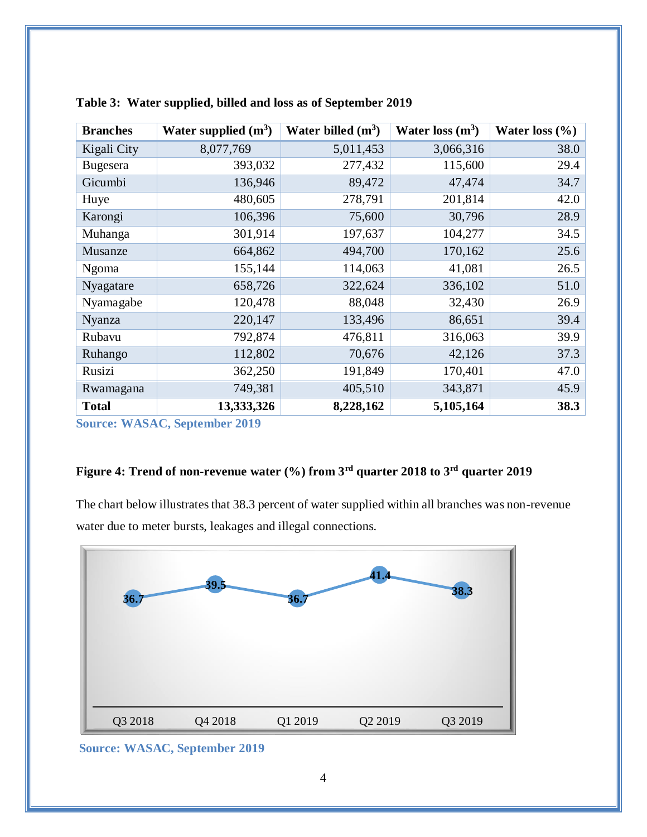| <b>Branches</b> | Water supplied $(m^3)$ | Water billed $(m^3)$ | Water loss $(m^3)$ | Water loss $(\% )$ |
|-----------------|------------------------|----------------------|--------------------|--------------------|
| Kigali City     | 8,077,769              | 5,011,453            | 3,066,316          | 38.0               |
| <b>Bugesera</b> | 393,032                | 277,432              | 115,600            | 29.4               |
| Gicumbi         | 136,946                | 89,472               | 47,474             | 34.7               |
| Huye            | 480,605                | 278,791              | 201,814            | 42.0               |
| Karongi         | 106,396                | 75,600               | 30,796             | 28.9               |
| Muhanga         | 301,914                | 197,637              | 104,277            | 34.5               |
| Musanze         | 664,862                | 494,700              | 170,162            | 25.6               |
| Ngoma           | 155,144                | 114,063              | 41,081             | 26.5               |
| Nyagatare       | 658,726                | 322,624              | 336,102            | 51.0               |
| Nyamagabe       | 120,478                | 88,048               | 32,430             | 26.9               |
| <b>Nyanza</b>   | 220,147                | 133,496              | 86,651             | 39.4               |
| Rubavu          | 792,874                | 476,811              | 316,063            | 39.9               |
| Ruhango         | 112,802                | 70,676               | 42,126             | 37.3               |
| Rusizi          | 362,250                | 191,849              | 170,401            | 47.0               |
| Rwamagana       | 749,381                | 405,510              | 343,871            | 45.9               |
| <b>Total</b>    | 13,333,326             | 8,228,162            | 5,105,164          | 38.3               |

<span id="page-6-0"></span>

| Table 3: Water supplied, billed and loss as of September 2019 |  |  |  |
|---------------------------------------------------------------|--|--|--|
|                                                               |  |  |  |

<span id="page-6-1"></span>**Source: WASAC, September 2019**

## **Figure 4: Trend of non-revenue water (%) from 3rd quarter 2018 to 3rd quarter 2019**

The chart below illustrates that 38.3 percent of water supplied within all branches was non-revenue water due to meter bursts, leakages and illegal connections.



**Source: WASAC, September 2019**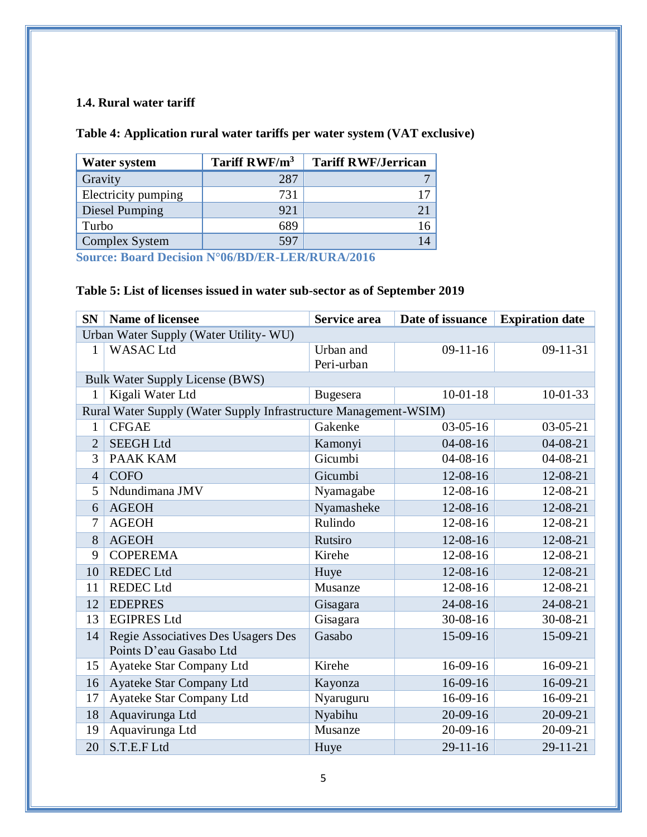## <span id="page-7-0"></span>**1.4. Rural water tariff**

### <span id="page-7-1"></span>**Table 4: Application rural water tariffs per water system (VAT exclusive)**

| <b>Water system</b> | Tariff RWF/m <sup>3</sup> | <b>Tariff RWF/Jerrican</b> |
|---------------------|---------------------------|----------------------------|
| Gravity             | 287                       |                            |
| Electricity pumping | 731                       | 17                         |
| Diesel Pumping      | 921                       |                            |
| Turbo               | 689                       | 16                         |
| Complex System      | 597                       | 14                         |

**Source: Board Decision N°06/BD/ER-LER/RURA/2016**

## <span id="page-7-2"></span>**Table 5: List of licenses issued in water sub-sector as of September 2019**

| SN                                     | <b>Name of licensee</b>                                          | Service area    | Date of issuance | <b>Expiration date</b> |  |  |  |
|----------------------------------------|------------------------------------------------------------------|-----------------|------------------|------------------------|--|--|--|
| Urban Water Supply (Water Utility- WU) |                                                                  |                 |                  |                        |  |  |  |
| $\mathbf{1}$                           | <b>WASAC</b> Ltd                                                 | Urban and       | $09-11-16$       | $09-11-31$             |  |  |  |
|                                        |                                                                  | Peri-urban      |                  |                        |  |  |  |
|                                        | <b>Bulk Water Supply License (BWS)</b>                           |                 |                  |                        |  |  |  |
| 1                                      | Kigali Water Ltd                                                 | <b>Bugesera</b> | $10-01-18$       | $10 - 01 - 33$         |  |  |  |
|                                        | Rural Water Supply (Water Supply Infrastructure Management-WSIM) |                 |                  |                        |  |  |  |
| $\mathbf{1}$                           | <b>CFGAE</b>                                                     | Gakenke         | $03-05-16$       | $03-05-21$             |  |  |  |
| $\overline{2}$                         | <b>SEEGH Ltd</b>                                                 | Kamonyi         | $04 - 08 - 16$   | $04 - 08 - 21$         |  |  |  |
| 3                                      | <b>PAAK KAM</b>                                                  | Gicumbi         | $04 - 08 - 16$   | $04 - 08 - 21$         |  |  |  |
| $\overline{4}$                         | <b>COFO</b>                                                      | Gicumbi         | 12-08-16         | 12-08-21               |  |  |  |
| 5                                      | Ndundimana JMV                                                   | Nyamagabe       | 12-08-16         | 12-08-21               |  |  |  |
| 6                                      | <b>AGEOH</b>                                                     | Nyamasheke      | 12-08-16         | 12-08-21               |  |  |  |
| 7                                      | <b>AGEOH</b>                                                     | Rulindo         | 12-08-16         | 12-08-21               |  |  |  |
| 8                                      | <b>AGEOH</b>                                                     | Rutsiro         | 12-08-16         | 12-08-21               |  |  |  |
| 9                                      | <b>COPEREMA</b>                                                  | Kirehe          | 12-08-16         | 12-08-21               |  |  |  |
| 10                                     | <b>REDEC</b> Ltd                                                 | Huye            | 12-08-16         | 12-08-21               |  |  |  |
| 11                                     | <b>REDEC</b> Ltd                                                 | Musanze         | 12-08-16         | 12-08-21               |  |  |  |
| 12                                     | <b>EDEPRES</b>                                                   | Gisagara        | 24-08-16         | 24-08-21               |  |  |  |
| 13                                     | <b>EGIPRES Ltd</b>                                               | Gisagara        | $30 - 08 - 16$   | 30-08-21               |  |  |  |
| 14                                     | Regie Associatives Des Usagers Des                               | Gasabo          | 15-09-16         | 15-09-21               |  |  |  |
|                                        | Points D'eau Gasabo Ltd                                          |                 |                  |                        |  |  |  |
| 15                                     | Ayateke Star Company Ltd                                         | Kirehe          | 16-09-16         | 16-09-21               |  |  |  |
| 16                                     | Ayateke Star Company Ltd                                         | Kayonza         | $16-09-16$       | 16-09-21               |  |  |  |
| 17                                     | Ayateke Star Company Ltd                                         | Nyaruguru       | $16-09-16$       | 16-09-21               |  |  |  |
| 18                                     | Aquavirunga Ltd                                                  | Nyabihu         | 20-09-16         | $20-09-21$             |  |  |  |
| 19                                     | Aquavirunga Ltd                                                  | Musanze         | 20-09-16         | 20-09-21               |  |  |  |
| 20                                     | S.T.E.F Ltd                                                      | Huye            | $29-11-16$       | $29 - 11 - 21$         |  |  |  |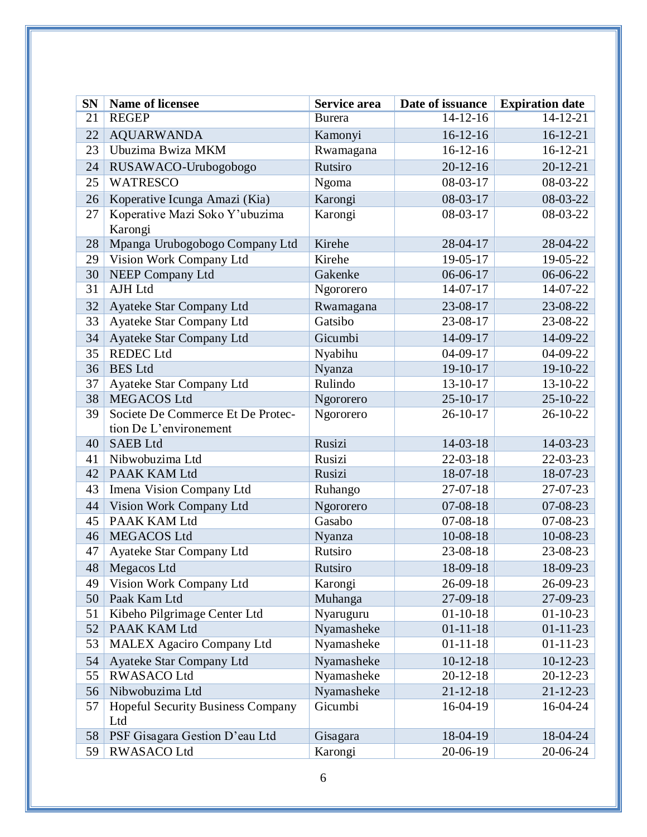| <b>SN</b> | <b>Name of licensee</b>                         | Service area  | Date of issuance | <b>Expiration date</b> |
|-----------|-------------------------------------------------|---------------|------------------|------------------------|
| 21        | <b>REGEP</b>                                    | <b>Burera</b> | $14-12-16$       | 14-12-21               |
| 22        | <b>AQUARWANDA</b>                               | Kamonyi       | $16-12-16$       | $16-12-21$             |
| 23        | Ubuzima Bwiza MKM                               | Rwamagana     | $16-12-16$       | $16-12-21$             |
| 24        | RUSAWACO-Urubogobogo                            | Rutsiro       | $20-12-16$       | $20 - 12 - 21$         |
| 25        | <b>WATRESCO</b>                                 | Ngoma         | 08-03-17         | 08-03-22               |
| 26        | Koperative Icunga Amazi (Kia)                   | Karongi       | 08-03-17         | 08-03-22               |
| 27        | Koperative Mazi Soko Y'ubuzima                  | Karongi       | 08-03-17         | 08-03-22               |
|           | Karongi                                         |               |                  |                        |
| 28        | Mpanga Urubogobogo Company Ltd                  | Kirehe        | 28-04-17         | 28-04-22               |
| 29        | Vision Work Company Ltd                         | Kirehe        | 19-05-17         | 19-05-22               |
| 30        | <b>NEEP Company Ltd</b>                         | Gakenke       | 06-06-17         | 06-06-22               |
| 31        | AJH Ltd                                         | Ngororero     | 14-07-17         | 14-07-22               |
| 32        | Ayateke Star Company Ltd                        | Rwamagana     | 23-08-17         | 23-08-22               |
| 33        | Ayateke Star Company Ltd                        | Gatsibo       | 23-08-17         | 23-08-22               |
| 34        | Ayateke Star Company Ltd                        | Gicumbi       | 14-09-17         | $14-09-22$             |
| 35        | <b>REDEC</b> Ltd                                | Nyabihu       | 04-09-17         | 04-09-22               |
| 36        | <b>BES</b> Ltd                                  | Nyanza        | 19-10-17         | 19-10-22               |
| 37        | Ayateke Star Company Ltd                        | Rulindo       | 13-10-17         | 13-10-22               |
| 38        | MEGACOS Ltd                                     | Ngororero     | 25-10-17         | 25-10-22               |
| 39        | Societe De Commerce Et De Protec-               | Ngororero     | 26-10-17         | 26-10-22               |
|           | tion De L'environement                          |               |                  |                        |
| 40        | <b>SAEB</b> Ltd                                 | Rusizi        | 14-03-18         | 14-03-23               |
| 41        | Nibwobuzima Ltd                                 | Rusizi        | $22 - 03 - 18$   | 22-03-23               |
| 42        | PAAK KAM Ltd                                    | Rusizi        | 18-07-18         | 18-07-23               |
| 43        | Imena Vision Company Ltd                        | Ruhango       | $27-07-18$       | 27-07-23               |
| 44        | Vision Work Company Ltd                         | Ngororero     | $07 - 08 - 18$   | 07-08-23               |
| 45        | PAAK KAM Ltd                                    | Gasabo        | 07-08-18         | 07-08-23               |
| 46        | MEGACOS Ltd                                     | Nyanza        | 10-08-18         | 10-08-23               |
| 47        | Ayateke Star Company Ltd                        | Rutsiro       | 23-08-18         | 23-08-23               |
| 48        | Megacos Ltd                                     | Rutsiro       | 18-09-18         | 18-09-23               |
| 49        | Vision Work Company Ltd                         | Karongi       | 26-09-18         | 26-09-23               |
| 50        | Paak Kam Ltd                                    | Muhanga       | 27-09-18         | 27-09-23               |
| 51        | Kibeho Pilgrimage Center Ltd                    | Nyaruguru     | $01-10-18$       | $01-10-23$             |
| 52        | PAAK KAM Ltd                                    | Nyamasheke    | $01 - 11 - 18$   | $01 - 11 - 23$         |
| 53        | <b>MALEX Agaciro Company Ltd</b>                | Nyamasheke    | $01 - 11 - 18$   | $01 - 11 - 23$         |
| 54        | Ayateke Star Company Ltd                        | Nyamasheke    | $10-12-18$       | $10-12-23$             |
| 55        | <b>RWASACO Ltd</b>                              | Nyamasheke    | $20-12-18$       | $20-12-23$             |
| 56        | Nibwobuzima Ltd                                 | Nyamasheke    | $21 - 12 - 18$   | $21 - 12 - 23$         |
| 57        | <b>Hopeful Security Business Company</b><br>Ltd | Gicumbi       | 16-04-19         | 16-04-24               |
| 58        | PSF Gisagara Gestion D'eau Ltd                  | Gisagara      | 18-04-19         | 18-04-24               |
| 59        | <b>RWASACO Ltd</b>                              | Karongi       | 20-06-19         | 20-06-24               |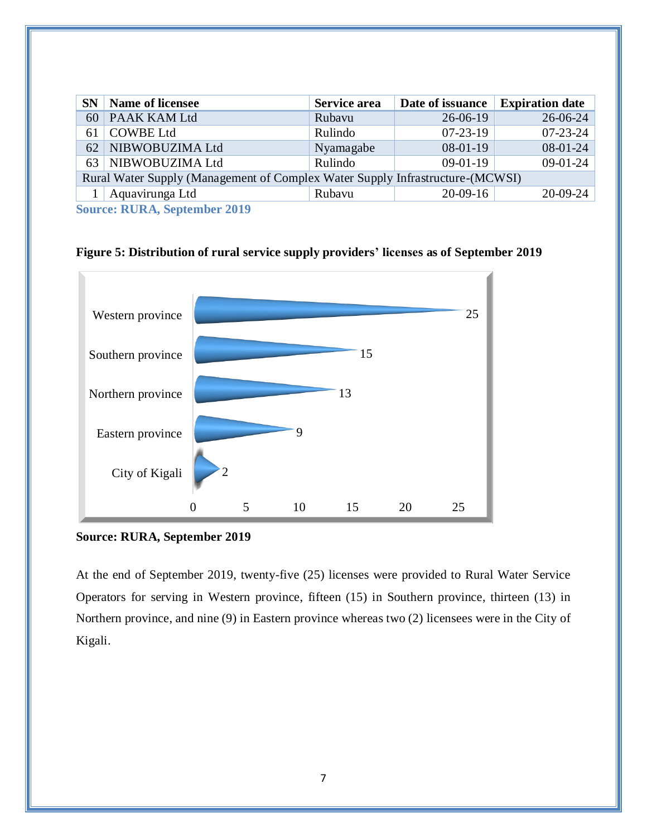| SN                                                                            | <b>Name of licensee</b> | <b>Service area</b> | Date of issuance Expiration date |                |  |
|-------------------------------------------------------------------------------|-------------------------|---------------------|----------------------------------|----------------|--|
| 60                                                                            | PAAK KAM Ltd            | Rubavu              | $26 - 06 - 19$                   | 26-06-24       |  |
| 61                                                                            | COWBE Ltd               | Rulindo             | $07-23-19$                       | $07 - 23 - 24$ |  |
|                                                                               | 62 NIBWOBUZIMA Ltd      | Nyamagabe           | $08-01-19$                       | $08-01-24$     |  |
|                                                                               | 63 NIBWOBUZIMA Ltd      | Rulindo             | $09-01-19$                       | $09-01-24$     |  |
| Rural Water Supply (Management of Complex Water Supply Infrastructure-(MCWSI) |                         |                     |                                  |                |  |
|                                                                               | Aquavirunga Ltd         | Rubavu              | $20-09-16$                       | $20-09-24$     |  |
| $\alpha$ nin $\alpha$ i and                                                   |                         |                     |                                  |                |  |

**Source: RURA, September 2019**

0 5 10 15 20 25 City of Kigali Eastern province Northern province Southern province Western province 2 9 13 15 25

<span id="page-9-0"></span>**Figure 5: Distribution of rural service supply providers' licenses as of September 2019**

At the end of September 2019, twenty-five (25) licenses were provided to Rural Water Service Operators for serving in Western province, fifteen (15) in Southern province, thirteen (13) in Northern province, and nine (9) in Eastern province whereas two (2) licensees were in the City of Kigali.

**Source: RURA, September 2019**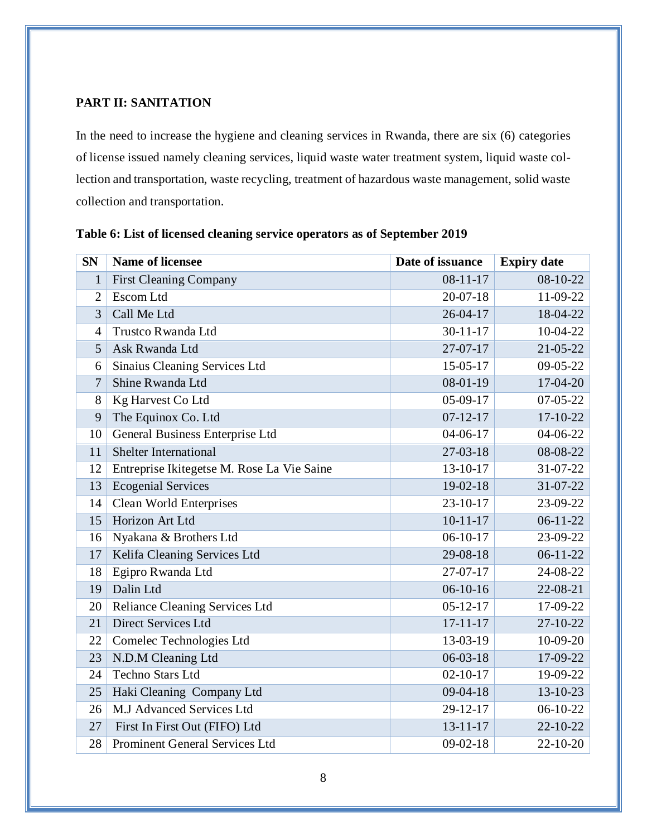### <span id="page-10-0"></span>**PART II: SANITATION**

In the need to increase the hygiene and cleaning services in Rwanda, there are six (6) categories of license issued namely cleaning services, liquid waste water treatment system, liquid waste collection and transportation, waste recycling, treatment of hazardous waste management, solid waste collection and transportation.

| <b>SN</b>      | <b>Name of licensee</b>                    | Date of issuance | <b>Expiry date</b> |
|----------------|--------------------------------------------|------------------|--------------------|
| $\mathbf{1}$   | <b>First Cleaning Company</b>              | $08-11-17$       | 08-10-22           |
| $\overline{2}$ | Escom Ltd                                  | $20-07-18$       | 11-09-22           |
| 3              | Call Me Ltd                                | $26 - 04 - 17$   | 18-04-22           |
| $\overline{4}$ | Trustco Rwanda Ltd                         | $30 - 11 - 17$   | 10-04-22           |
| 5              | Ask Rwanda Ltd                             | $27-07-17$       | 21-05-22           |
| 6              | Sinaius Cleaning Services Ltd              | 15-05-17         | 09-05-22           |
| 7              | Shine Rwanda Ltd                           | 08-01-19         | 17-04-20           |
| 8              | Kg Harvest Co Ltd                          | 05-09-17         | 07-05-22           |
| 9              | The Equinox Co. Ltd                        | $07 - 12 - 17$   | 17-10-22           |
| 10             | General Business Enterprise Ltd            | $04 - 06 - 17$   | 04-06-22           |
| 11             | <b>Shelter International</b>               | 27-03-18         | 08-08-22           |
| 12             | Entreprise Ikitegetse M. Rose La Vie Saine | 13-10-17         | 31-07-22           |
| 13             | <b>Ecogenial Services</b>                  | $19-02-18$       | 31-07-22           |
| 14             | <b>Clean World Enterprises</b>             | $23-10-17$       | 23-09-22           |
| 15             | Horizon Art Ltd                            | $10-11-17$       | $06-11-22$         |
| 16             | Nyakana & Brothers Ltd                     | $06-10-17$       | 23-09-22           |
| 17             | Kelifa Cleaning Services Ltd               | 29-08-18         | $06-11-22$         |
| 18             | Egipro Rwanda Ltd                          | 27-07-17         | 24-08-22           |
| 19             | Dalin Ltd                                  | $06-10-16$       | 22-08-21           |
| 20             | Reliance Cleaning Services Ltd             | $05-12-17$       | 17-09-22           |
| 21             | <b>Direct Services Ltd</b>                 | $17 - 11 - 17$   | 27-10-22           |
| 22             | Comelec Technologies Ltd                   | 13-03-19         | 10-09-20           |
| 23             | N.D.M Cleaning Ltd                         | $06 - 03 - 18$   | 17-09-22           |
| 24             | <b>Techno Stars Ltd</b>                    | $02 - 10 - 17$   | 19-09-22           |
| 25             | Haki Cleaning Company Ltd                  | 09-04-18         | 13-10-23           |
| 26             | M.J Advanced Services Ltd                  | 29-12-17         | 06-10-22           |
| 27             | First In First Out (FIFO) Ltd              | $13 - 11 - 17$   | 22-10-22           |
| 28             | Prominent General Services Ltd             | $09-02-18$       | 22-10-20           |

<span id="page-10-1"></span>**Table 6: List of licensed cleaning service operators as of September 2019**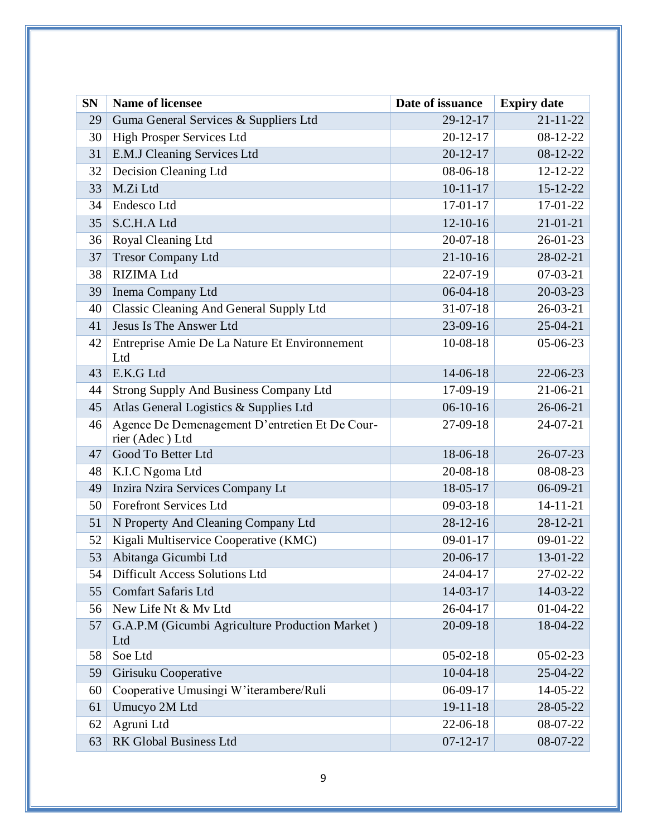| <b>SN</b> | <b>Name of licensee</b>                                           | Date of issuance | <b>Expiry date</b> |
|-----------|-------------------------------------------------------------------|------------------|--------------------|
| 29        | Guma General Services & Suppliers Ltd                             | 29-12-17         | $21 - 11 - 22$     |
| 30        | High Prosper Services Ltd                                         | $20 - 12 - 17$   | 08-12-22           |
| 31        | E.M.J Cleaning Services Ltd                                       | $20 - 12 - 17$   | 08-12-22           |
| 32        | Decision Cleaning Ltd                                             | 08-06-18         | 12-12-22           |
| 33        | M.Zi Ltd                                                          | $10-11-17$       | $15 - 12 - 22$     |
| 34        | Endesco Ltd                                                       | $17-01-17$       | 17-01-22           |
| 35        | S.C.H.A Ltd                                                       | $12-10-16$       | $21 - 01 - 21$     |
| 36        | Royal Cleaning Ltd                                                | $20-07-18$       | $26 - 01 - 23$     |
| 37        | <b>Tresor Company Ltd</b>                                         | $21 - 10 - 16$   | 28-02-21           |
| 38        | <b>RIZIMA Ltd</b>                                                 | 22-07-19         | $07-03-21$         |
| 39        | Inema Company Ltd                                                 | $06-04-18$       | $20 - 03 - 23$     |
| 40        | <b>Classic Cleaning And General Supply Ltd</b>                    | 31-07-18         | $26 - 03 - 21$     |
| 41        | Jesus Is The Answer Ltd                                           | $23-09-16$       | $25-04-21$         |
| 42        | Entreprise Amie De La Nature Et Environnement<br>Ltd              | 10-08-18         | 05-06-23           |
| 43        | E.K.G Ltd                                                         | 14-06-18         | 22-06-23           |
| 44        | Strong Supply And Business Company Ltd                            | 17-09-19         | 21-06-21           |
| 45        | Atlas General Logistics & Supplies Ltd                            | $06-10-16$       | 26-06-21           |
| 46        | Agence De Demenagement D'entretien Et De Cour-<br>rier (Adec) Ltd | 27-09-18         | 24-07-21           |
| 47        | Good To Better Ltd                                                | 18-06-18         | $26 - 07 - 23$     |
| 48        | K.I.C Ngoma Ltd                                                   | 20-08-18         | 08-08-23           |
| 49        | Inzira Nzira Services Company Lt                                  | 18-05-17         | $06-09-21$         |
| 50        | <b>Forefront Services Ltd</b>                                     | $09-03-18$       | $14 - 11 - 21$     |
| 51        | N Property And Cleaning Company Ltd                               | $28-12-16$       | 28-12-21           |
| 52        | Kigali Multiservice Cooperative (KMC)                             | $09-01-17$       | 09-01-22           |
| 53        | Abitanga Gicumbi Ltd                                              | 20-06-17         | 13-01-22           |
| 54        | <b>Difficult Access Solutions Ltd</b>                             | 24-04-17         | 27-02-22           |
| 55        | <b>Comfart Safaris Ltd</b>                                        | 14-03-17         | 14-03-22           |
| 56        | New Life Nt & My Ltd                                              | 26-04-17         | 01-04-22           |
| 57        | G.A.P.M (Gicumbi Agriculture Production Market)<br>Ltd            | 20-09-18         | 18-04-22           |
| 58        | Soe Ltd                                                           | $05-02-18$       | 05-02-23           |
| 59        | Girisuku Cooperative                                              | $10-04-18$       | 25-04-22           |
| 60        | Cooperative Umusingi W'iterambere/Ruli                            | 06-09-17         | 14-05-22           |
| 61        | Umucyo 2M Ltd                                                     | $19 - 11 - 18$   | 28-05-22           |
| 62        | Agruni Ltd                                                        | 22-06-18         | 08-07-22           |
| 63        | RK Global Business Ltd                                            | $07 - 12 - 17$   | 08-07-22           |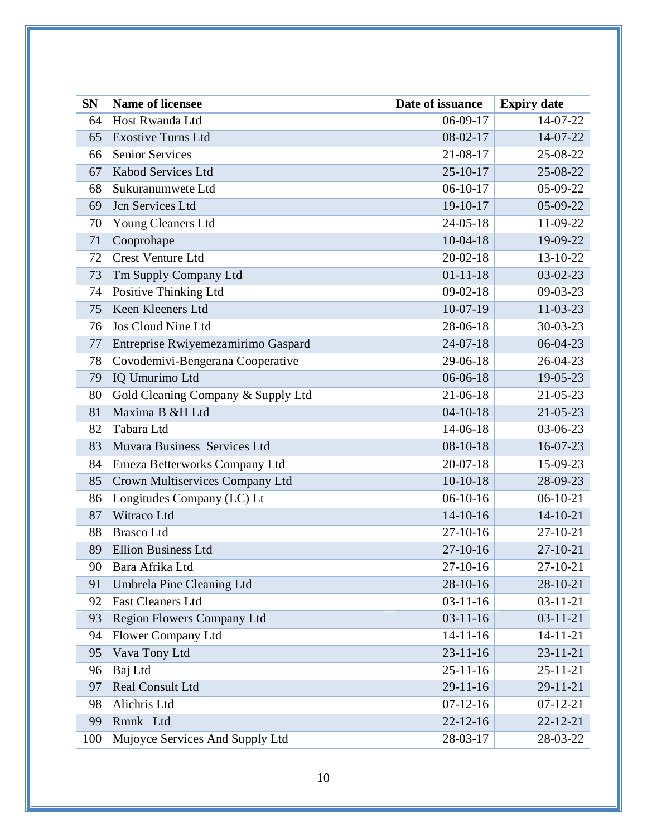| <b>SN</b> | <b>Name of licensee</b>            | Date of issuance | <b>Expiry date</b> |
|-----------|------------------------------------|------------------|--------------------|
| 64        | Host Rwanda Ltd                    | 06-09-17         | 14-07-22           |
| 65        | <b>Exostive Turns Ltd</b>          | 08-02-17         | 14-07-22           |
| 66        | Senior Services                    | 21-08-17         | 25-08-22           |
| 67        | Kabod Services Ltd                 | $25 - 10 - 17$   | 25-08-22           |
| 68        | Sukuranumwete Ltd                  | $06-10-17$       | 05-09-22           |
| 69        | Jcn Services Ltd                   | 19-10-17         | 05-09-22           |
| 70        | <b>Young Cleaners Ltd</b>          | $24 - 05 - 18$   | 11-09-22           |
| 71        | Cooprohape                         | $10-04-18$       | 19-09-22           |
| 72        | <b>Crest Venture Ltd</b>           | $20 - 02 - 18$   | 13-10-22           |
| 73        | Tm Supply Company Ltd              | $01 - 11 - 18$   | 03-02-23           |
| 74        | Positive Thinking Ltd              | $09-02-18$       | 09-03-23           |
| 75        | Keen Kleeners Ltd                  | $10-07-19$       | 11-03-23           |
| 76        | Jos Cloud Nine Ltd                 | 28-06-18         | 30-03-23           |
| 77        | Entreprise Rwiyemezamirimo Gaspard | $24-07-18$       | 06-04-23           |
| 78        | Covodemivi-Bengerana Cooperative   | 29-06-18         | 26-04-23           |
| 79        | IQ Umurimo Ltd                     | 06-06-18         | 19-05-23           |
| 80        | Gold Cleaning Company & Supply Ltd | 21-06-18         | 21-05-23           |
| 81        | Maxima B &H Ltd                    | $04 - 10 - 18$   | 21-05-23           |
| 82        | Tabara Ltd                         | 14-06-18         | 03-06-23           |
| 83        | Muvara Business Services Ltd       | $08 - 10 - 18$   | 16-07-23           |
| 84        | Emeza Betterworks Company Ltd      | $20 - 07 - 18$   | 15-09-23           |
| 85        | Crown Multiservices Company Ltd    | $10-10-18$       | 28-09-23           |
| 86        | Longitudes Company (LC) Lt         | $06-10-16$       | $06-10-21$         |
| 87        | Witraco Ltd                        | $14-10-16$       | $14-10-21$         |
| 88        | <b>Brasco</b> Ltd                  | 27-10-16         | 27-10-21           |
| 89        | <b>Ellion Business Ltd</b>         | $27 - 10 - 16$   | $27-10-21$         |
| 90        | Bara Afrika Ltd                    | 27-10-16         | 27-10-21           |
| 91        | Umbrela Pine Cleaning Ltd          | 28-10-16         | 28-10-21           |
| 92        | <b>Fast Cleaners Ltd</b>           | $03-11-16$       | $03-11-21$         |
| 93        | Region Flowers Company Ltd         | $03-11-16$       | $03-11-21$         |
| 94        | Flower Company Ltd                 | $14-11-16$       | $14 - 11 - 21$     |
| 95        | Vava Tony Ltd                      | $23 - 11 - 16$   | $23 - 11 - 21$     |
| 96        | Baj Ltd                            | $25 - 11 - 16$   | $25 - 11 - 21$     |
| 97        | Real Consult Ltd                   | 29-11-16         | 29-11-21           |
| 98        | Alichris Ltd                       | $07-12-16$       | $07-12-21$         |
| 99        | Rmnk Ltd                           | $22 - 12 - 16$   | $22 - 12 - 21$     |
| 100       | Mujoyce Services And Supply Ltd    | 28-03-17         | 28-03-22           |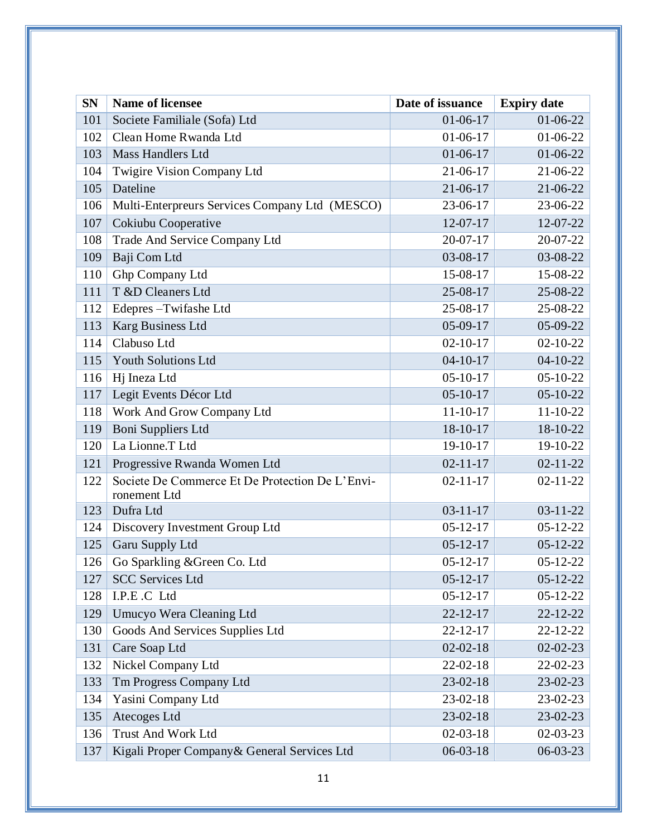| <b>SN</b> | <b>Name of licensee</b>                                         | Date of issuance | <b>Expiry date</b> |
|-----------|-----------------------------------------------------------------|------------------|--------------------|
| 101       | Societe Familiale (Sofa) Ltd                                    | $01-06-17$       | 01-06-22           |
| 102       | Clean Home Rwanda Ltd                                           | $01-06-17$       | $01-06-22$         |
| 103       | <b>Mass Handlers Ltd</b>                                        | $01-06-17$       | 01-06-22           |
| 104       | Twigire Vision Company Ltd                                      | 21-06-17         | 21-06-22           |
| 105       | Dateline                                                        | 21-06-17         | 21-06-22           |
| 106       | Multi-Enterpreurs Services Company Ltd (MESCO)                  | 23-06-17         | 23-06-22           |
| 107       | Cokiubu Cooperative                                             | 12-07-17         | 12-07-22           |
| 108       | Trade And Service Company Ltd                                   | $20 - 07 - 17$   | 20-07-22           |
| 109       | Baji Com Ltd                                                    | 03-08-17         | 03-08-22           |
| 110       | Ghp Company Ltd                                                 | 15-08-17         | 15-08-22           |
| 111       | T &D Cleaners Ltd                                               | 25-08-17         | 25-08-22           |
| 112       | Edepres-Twifashe Ltd                                            | 25-08-17         | 25-08-22           |
| 113       | Karg Business Ltd                                               | $05-09-17$       | 05-09-22           |
| 114       | Clabuso Ltd                                                     | $02 - 10 - 17$   | $02 - 10 - 22$     |
| 115       | <b>Youth Solutions Ltd</b>                                      | $04-10-17$       | $04-10-22$         |
| 116       | Hj Ineza Ltd                                                    | $05-10-17$       | $05-10-22$         |
| 117       | Legit Events Décor Ltd                                          | $05 - 10 - 17$   | 05-10-22           |
| 118       | Work And Grow Company Ltd                                       | $11 - 10 - 17$   | 11-10-22           |
| 119       | Boni Suppliers Ltd                                              | 18-10-17         | 18-10-22           |
| 120       | La Lionne.T Ltd                                                 | 19-10-17         | 19-10-22           |
| 121       | Progressive Rwanda Women Ltd                                    | $02 - 11 - 17$   | $02 - 11 - 22$     |
| 122       | Societe De Commerce Et De Protection De L'Envi-<br>ronement Ltd | $02 - 11 - 17$   | $02 - 11 - 22$     |
| 123       | Dufra Ltd                                                       | $03 - 11 - 17$   | $03 - 11 - 22$     |
| 124       | Discovery Investment Group Ltd                                  | $05 - 12 - 17$   | $05-12-22$         |
| 125       | Garu Supply Ltd                                                 | $05 - 12 - 17$   | $05-12-22$         |
| 126       | Go Sparkling & Green Co. Ltd                                    | $05-12-17$       | 05-12-22           |
| 127       | <b>SCC Services Ltd</b>                                         | $05 - 12 - 17$   | $05 - 12 - 22$     |
| 128       | I.P.E.C Ltd                                                     | $05 - 12 - 17$   | $05 - 12 - 22$     |
| 129       | Umucyo Wera Cleaning Ltd                                        | $22 - 12 - 17$   | 22-12-22           |
| 130       | Goods And Services Supplies Ltd                                 | 22-12-17         | 22-12-22           |
| 131       | Care Soap Ltd                                                   | $02 - 02 - 18$   | $02 - 02 - 23$     |
| 132       | Nickel Company Ltd                                              | 22-02-18         | 22-02-23           |
| 133       | Tm Progress Company Ltd                                         | 23-02-18         | 23-02-23           |
| 134       | Yasini Company Ltd                                              | 23-02-18         | 23-02-23           |
| 135       | Atecoges Ltd                                                    | 23-02-18         | 23-02-23           |
| 136       | <b>Trust And Work Ltd</b>                                       | $02-03-18$       | 02-03-23           |
| 137       | Kigali Proper Company & General Services Ltd                    | $06 - 03 - 18$   | 06-03-23           |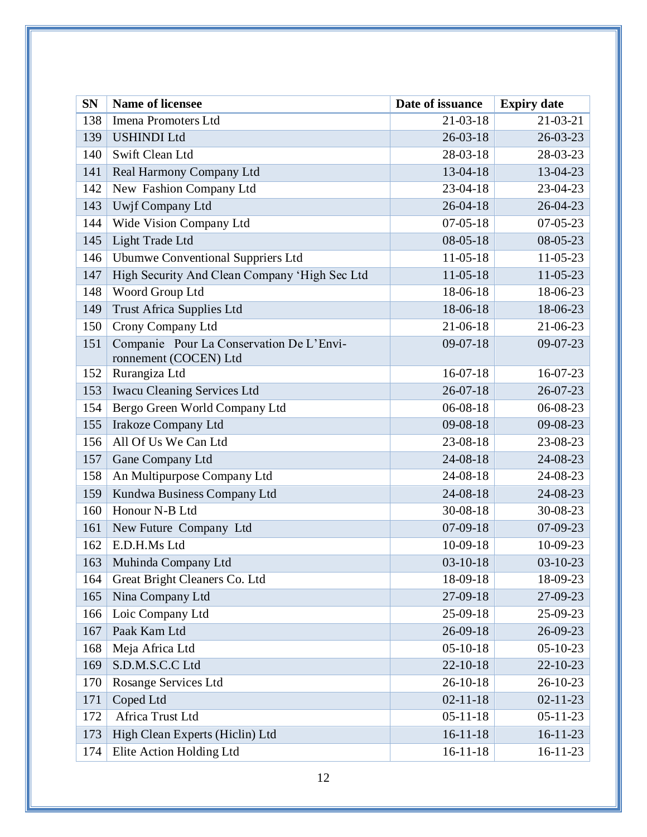| <b>SN</b> | <b>Name of licensee</b>                                           | Date of issuance | <b>Expiry date</b> |
|-----------|-------------------------------------------------------------------|------------------|--------------------|
| 138       | Imena Promoters Ltd                                               | $21 - 03 - 18$   | $21 - 03 - 21$     |
| 139       | <b>USHINDI Ltd</b>                                                | $26 - 03 - 18$   | 26-03-23           |
| 140       | Swift Clean Ltd                                                   | 28-03-18         | 28-03-23           |
| 141       | Real Harmony Company Ltd                                          | 13-04-18         | 13-04-23           |
| 142       | New Fashion Company Ltd                                           | 23-04-18         | 23-04-23           |
| 143       | Uwjf Company Ltd                                                  | $26 - 04 - 18$   | $26 - 04 - 23$     |
| 144       | Wide Vision Company Ltd                                           | $07 - 05 - 18$   | $07 - 05 - 23$     |
| 145       | Light Trade Ltd                                                   | $08 - 05 - 18$   | 08-05-23           |
| 146       | <b>Ubumwe Conventional Suppriers Ltd</b>                          | $11-05-18$       | $11-05-23$         |
| 147       | High Security And Clean Company 'High Sec Ltd                     | $11-05-18$       | 11-05-23           |
| 148       | Woord Group Ltd                                                   | 18-06-18         | 18-06-23           |
| 149       | <b>Trust Africa Supplies Ltd</b>                                  | 18-06-18         | 18-06-23           |
| 150       | Crony Company Ltd                                                 | 21-06-18         | 21-06-23           |
| 151       | Companie Pour La Conservation De L'Envi-<br>ronnement (COCEN) Ltd | $09-07-18$       | 09-07-23           |
| 152       | Rurangiza Ltd                                                     | $16-07-18$       | 16-07-23           |
| 153       | <b>Iwacu Cleaning Services Ltd</b>                                | $26 - 07 - 18$   | 26-07-23           |
| 154       | Bergo Green World Company Ltd                                     | 06-08-18         | 06-08-23           |
| 155       | <b>Irakoze Company Ltd</b>                                        | 09-08-18         | 09-08-23           |
| 156       | All Of Us We Can Ltd                                              | 23-08-18         | 23-08-23           |
| 157       | Gane Company Ltd                                                  | 24-08-18         | 24-08-23           |
| 158       | An Multipurpose Company Ltd                                       | 24-08-18         | 24-08-23           |
| 159       | Kundwa Business Company Ltd                                       | 24-08-18         | 24-08-23           |
| 160       | Honour N-B Ltd                                                    | 30-08-18         | 30-08-23           |
| 161       | New Future Company Ltd                                            | $07-09-18$       | 07-09-23           |
| 162       | E.D.H.Ms Ltd                                                      | 10-09-18         | 10-09-23           |
| 163       | Muhinda Company Ltd                                               | $03-10-18$       | $03-10-23$         |
| 164       | Great Bright Cleaners Co. Ltd                                     | 18-09-18         | 18-09-23           |
| 165       | Nina Company Ltd                                                  | 27-09-18         | 27-09-23           |
| 166       | Loic Company Ltd                                                  | 25-09-18         | 25-09-23           |
| 167       | Paak Kam Ltd                                                      | 26-09-18         | 26-09-23           |
| 168       | Meja Africa Ltd                                                   | $05-10-18$       | $05-10-23$         |
| 169       | S.D.M.S.C.C Ltd                                                   | $22 - 10 - 18$   | 22-10-23           |
| 170       | <b>Rosange Services Ltd</b>                                       | 26-10-18         | 26-10-23           |
| 171       | Coped Ltd                                                         | $02 - 11 - 18$   | $02 - 11 - 23$     |
| 172       | Africa Trust Ltd                                                  | $05 - 11 - 18$   | $05 - 11 - 23$     |
| 173       | High Clean Experts (Hiclin) Ltd                                   | $16-11-18$       | $16-11-23$         |
| 174       | Elite Action Holding Ltd                                          | $16-11-18$       | $16-11-23$         |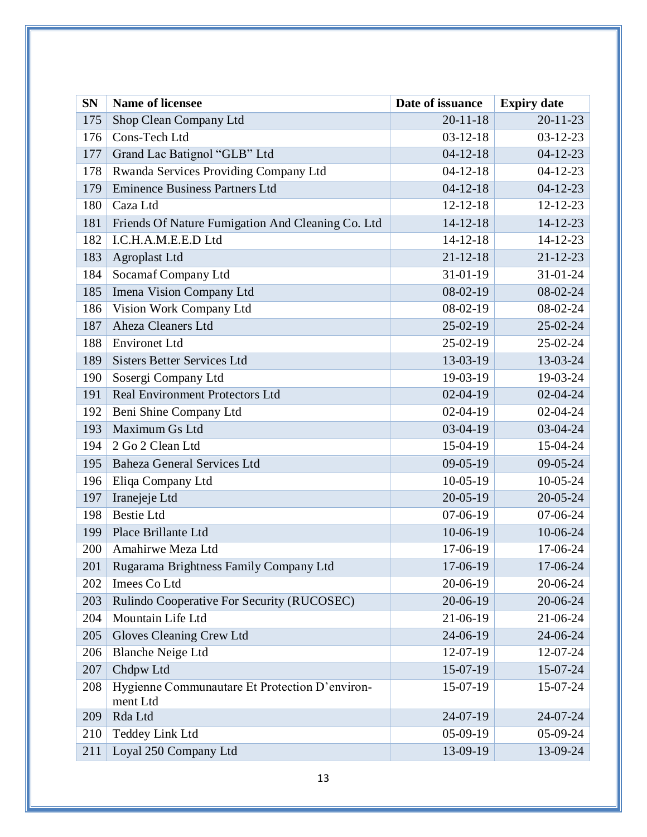| <b>SN</b> | <b>Name of licensee</b>                                    | Date of issuance | <b>Expiry date</b> |
|-----------|------------------------------------------------------------|------------------|--------------------|
| 175       | Shop Clean Company Ltd                                     | $20 - 11 - 18$   | $20 - 11 - 23$     |
| 176       | Cons-Tech Ltd                                              | $03-12-18$       | $03-12-23$         |
| 177       | Grand Lac Batignol "GLB" Ltd                               | $04-12-18$       | $04-12-23$         |
| 178       | Rwanda Services Providing Company Ltd                      | $04-12-18$       | $04-12-23$         |
| 179       | <b>Eminence Business Partners Ltd</b>                      | $04-12-18$       | $04-12-23$         |
| 180       | Caza Ltd                                                   | $12 - 12 - 18$   | 12-12-23           |
| 181       | Friends Of Nature Fumigation And Cleaning Co. Ltd          | $14 - 12 - 18$   | $14-12-23$         |
| 182       | I.C.H.A.M.E.E.D Ltd                                        | $14 - 12 - 18$   | 14-12-23           |
| 183       | <b>Agroplast Ltd</b>                                       | $21 - 12 - 18$   | $21 - 12 - 23$     |
| 184       | Socamaf Company Ltd                                        | 31-01-19         | 31-01-24           |
| 185       | Imena Vision Company Ltd                                   | 08-02-19         | 08-02-24           |
| 186       | Vision Work Company Ltd                                    | $08-02-19$       | 08-02-24           |
| 187       | Aheza Cleaners Ltd                                         | $25-02-19$       | 25-02-24           |
| 188       | <b>Environet Ltd</b>                                       | 25-02-19         | 25-02-24           |
| 189       | <b>Sisters Better Services Ltd</b>                         | 13-03-19         | 13-03-24           |
| 190       | Sosergi Company Ltd                                        | 19-03-19         | 19-03-24           |
| 191       | <b>Real Environment Protectors Ltd</b>                     | $02-04-19$       | $02 - 04 - 24$     |
| 192       | Beni Shine Company Ltd                                     | $02-04-19$       | $02 - 04 - 24$     |
| 193       | Maximum Gs Ltd                                             | 03-04-19         | 03-04-24           |
| 194       | 2 Go 2 Clean Ltd                                           | 15-04-19         | 15-04-24           |
| 195       | <b>Baheza General Services Ltd</b>                         | $09 - 05 - 19$   | 09-05-24           |
| 196       | Eliqa Company Ltd                                          | $10-05-19$       | 10-05-24           |
| 197       | Iranejeje Ltd                                              | 20-05-19         | 20-05-24           |
| 198       | <b>Bestie Ltd</b>                                          | $07-06-19$       | 07-06-24           |
| 199       | Place Brillante Ltd                                        | 10-06-19         | 10-06-24           |
| 200       | Amahirwe Meza Ltd                                          | 17-06-19         | 17-06-24           |
| 201       | Rugarama Brightness Family Company Ltd                     | 17-06-19         | 17-06-24           |
| 202       | Imees Co Ltd                                               | 20-06-19         | 20-06-24           |
| 203       | Rulindo Cooperative For Security (RUCOSEC)                 | 20-06-19         | 20-06-24           |
| 204       | Mountain Life Ltd                                          | 21-06-19         | 21-06-24           |
| 205       | Gloves Cleaning Crew Ltd                                   | 24-06-19         | 24-06-24           |
| 206       | <b>Blanche Neige Ltd</b>                                   | 12-07-19         | 12-07-24           |
| 207       | Chdpw Ltd                                                  | 15-07-19         | 15-07-24           |
| 208       | Hygienne Communautare Et Protection D'environ-<br>ment Ltd | 15-07-19         | 15-07-24           |
| 209       | Rda Ltd                                                    | 24-07-19         | 24-07-24           |
| 210       | <b>Teddey Link Ltd</b>                                     | 05-09-19         | 05-09-24           |
| 211       | Loyal 250 Company Ltd                                      | 13-09-19         | 13-09-24           |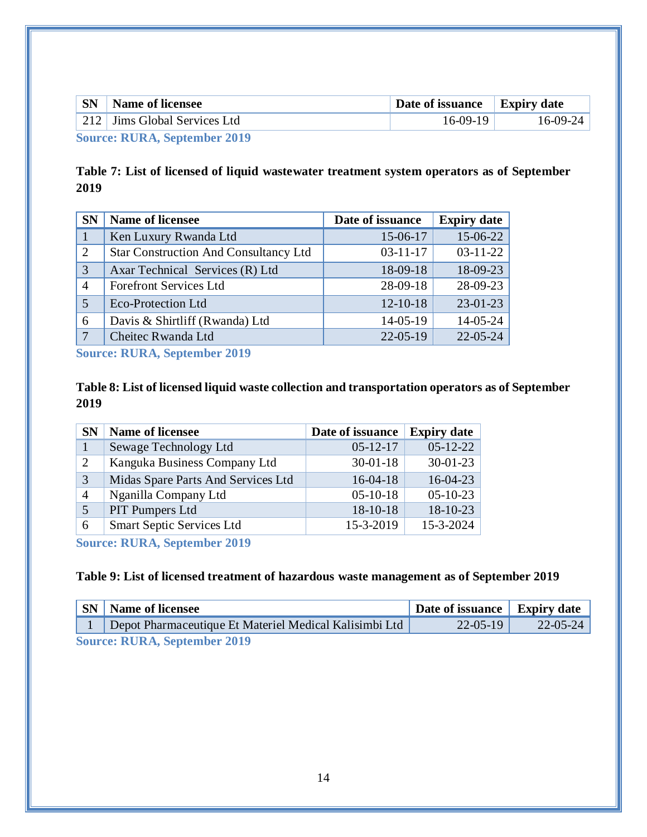| <b>SN</b> | <b>Name of licensee</b>      | Date of issuance Expiry date |            |
|-----------|------------------------------|------------------------------|------------|
|           | 212 Jims Global Services Ltd | $16-09-19$                   | $16-09-24$ |
|           |                              |                              |            |

**Source: RURA, September 2019**

## <span id="page-16-0"></span>**Table 7: List of licensed of liquid wastewater treatment system operators as of September**

| <b>SN</b>    | <b>Name of licensee</b>                      | Date of issuance | <b>Expiry date</b> |
|--------------|----------------------------------------------|------------------|--------------------|
|              | Ken Luxury Rwanda Ltd                        | 15-06-17         | 15-06-22           |
| 2            | <b>Star Construction And Consultancy Ltd</b> | $03-11-17$       | $03-11-22$         |
| 3            | Axar Technical Services (R) Ltd              | 18-09-18         | 18-09-23           |
| 4            | <b>Forefront Services Ltd</b>                | 28-09-18         | 28-09-23           |
| 5            | <b>Eco-Protection Ltd</b>                    | $12 - 10 - 18$   | $23-01-23$         |
| 6            | Davis & Shirtliff (Rwanda) Ltd               | $14 - 05 - 19$   | 14-05-24           |
| $\mathbf{7}$ | Cheitec Rwanda Ltd                           | $22 - 05 - 19$   | $22 - 05 - 24$     |

**Source: RURA, September 2019**

## <span id="page-16-1"></span>**Table 8: List of licensed liquid waste collection and transportation operators as of September**

| <b>SN</b> | <b>Name of licensee</b>            | Date of issuance | <b>Expiry date</b> |
|-----------|------------------------------------|------------------|--------------------|
|           | Sewage Technology Ltd              | $05-12-17$       | $05-12-22$         |
| 2         | Kanguka Business Company Ltd       | $30 - 01 - 18$   | $30 - 01 - 23$     |
| 3         | Midas Spare Parts And Services Ltd | $16-04-18$       | $16-04-23$         |
| 4         | Nganilla Company Ltd               | $05-10-18$       | $05-10-23$         |
| 5         | PIT Pumpers Ltd                    | $18-10-18$       | 18-10-23           |
| 6         | <b>Smart Septic Services Ltd</b>   | 15-3-2019        | 15-3-2024          |

**Source: RURA, September 2019**

#### <span id="page-16-2"></span>**Table 9: List of licensed treatment of hazardous waste management as of September 2019**

| $\overline{\phantom{a}}$ SN         | <b>Name of licensee</b>                                | Date of issuance   Expiry date |          |  |
|-------------------------------------|--------------------------------------------------------|--------------------------------|----------|--|
|                                     | Depot Pharmaceutique Et Materiel Medical Kalisimbi Ltd | $22-05-19$                     | 22-05-24 |  |
| <b>Source: RURA, September 2019</b> |                                                        |                                |          |  |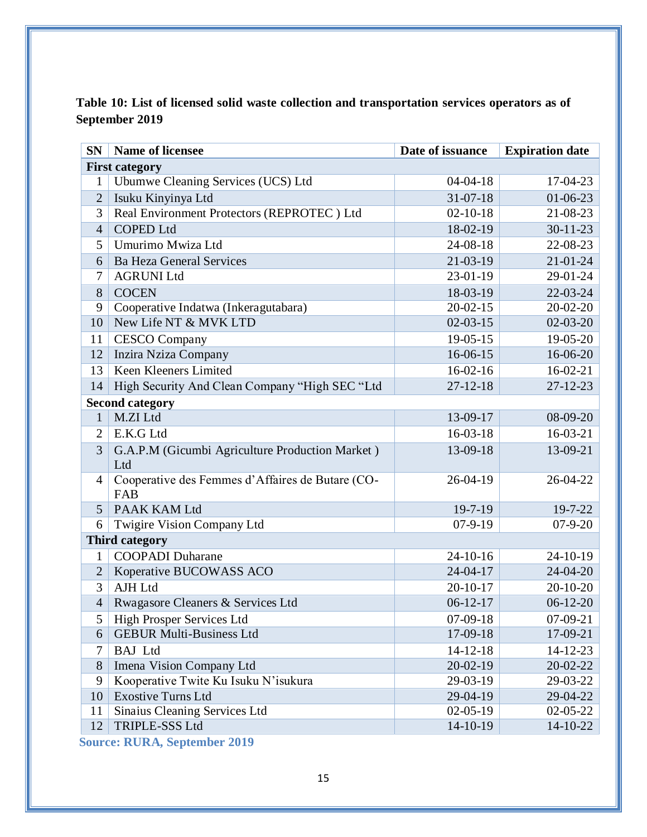<span id="page-17-0"></span>

|                | Table 10: List of licensed solid waste collection and transportation services operators as of |  |
|----------------|-----------------------------------------------------------------------------------------------|--|
| September 2019 |                                                                                               |  |

| <b>SN</b>             | <b>Name of licensee</b>                                 | Date of issuance | <b>Expiration date</b> |  |  |
|-----------------------|---------------------------------------------------------|------------------|------------------------|--|--|
|                       | <b>First category</b>                                   |                  |                        |  |  |
| 1                     | Ubumwe Cleaning Services (UCS) Ltd                      | $04 - 04 - 18$   | 17-04-23               |  |  |
| $\overline{2}$        | Isuku Kinyinya Ltd                                      | $31 - 07 - 18$   | $01-06-23$             |  |  |
| 3                     | Real Environment Protectors (REPROTEC) Ltd              | $02-10-18$       | 21-08-23               |  |  |
| $\overline{4}$        | <b>COPED Ltd</b>                                        | 18-02-19         | $30 - 11 - 23$         |  |  |
| 5                     | Umurimo Mwiza Ltd                                       | 24-08-18         | 22-08-23               |  |  |
| 6                     | <b>Ba Heza General Services</b>                         | 21-03-19         | $21 - 01 - 24$         |  |  |
| 7                     | <b>AGRUNI Ltd</b>                                       | 23-01-19         | 29-01-24               |  |  |
| 8                     | <b>COCEN</b>                                            | 18-03-19         | 22-03-24               |  |  |
| 9                     | Cooperative Indatwa (Inkeragutabara)                    | $20 - 02 - 15$   | 20-02-20               |  |  |
| 10                    | New Life NT & MVK LTD                                   | $02-03-15$       | $02-03-20$             |  |  |
| 11                    | <b>CESCO</b> Company                                    | 19-05-15         | 19-05-20               |  |  |
| 12                    | Inzira Nziza Company                                    | 16-06-15         | 16-06-20               |  |  |
| 13                    | Keen Kleeners Limited                                   | $16-02-16$       | $16-02-21$             |  |  |
| 14                    | High Security And Clean Company "High SEC "Ltd          | $27 - 12 - 18$   | $27 - 12 - 23$         |  |  |
|                       | <b>Second category</b>                                  |                  |                        |  |  |
| 1                     | M.ZI Ltd                                                | 13-09-17         | 08-09-20               |  |  |
| $\overline{2}$        | E.K.G Ltd                                               | 16-03-18         | 16-03-21               |  |  |
| 3                     | G.A.P.M (Gicumbi Agriculture Production Market)         | 13-09-18         | 13-09-21               |  |  |
|                       | Ltd                                                     |                  |                        |  |  |
| $\overline{4}$        | Cooperative des Femmes d'Affaires de Butare (CO-<br>FAB | $26 - 04 - 19$   | $26 - 04 - 22$         |  |  |
| 5                     | PAAK KAM Ltd                                            | $19 - 7 - 19$    | 19-7-22                |  |  |
| 6                     | Twigire Vision Company Ltd                              | $07-9-19$        | $07 - 9 - 20$          |  |  |
| <b>Third category</b> |                                                         |                  |                        |  |  |
| 1                     | <b>COOPADI</b> Duharane                                 | $24-10-16$       | 24-10-19               |  |  |
| $\overline{2}$        | Koperative BUCOWASS ACO                                 | 24-04-17         | 24-04-20               |  |  |
| 3                     | AJH Ltd                                                 | $20-10-17$       | 20-10-20               |  |  |
| $\overline{4}$        | Rwagasore Cleaners & Services Ltd                       | $06-12-17$       | $06-12-20$             |  |  |
| 5                     | <b>High Prosper Services Ltd</b>                        | $07-09-18$       | 07-09-21               |  |  |
| 6                     | <b>GEBUR Multi-Business Ltd</b>                         | 17-09-18         | 17-09-21               |  |  |
| 7                     | <b>BAJ</b> Ltd                                          | $14-12-18$       | $14-12-23$             |  |  |
| 8                     | Imena Vision Company Ltd                                | 20-02-19         | 20-02-22               |  |  |
| 9                     | Kooperative Twite Ku Isuku N'isukura                    | 29-03-19         | 29-03-22               |  |  |
| 10                    | <b>Exostive Turns Ltd</b>                               | 29-04-19         | 29-04-22               |  |  |
| 11                    | Sinaius Cleaning Services Ltd                           | $02 - 05 - 19$   | 02-05-22               |  |  |
| 12                    | TRIPLE-SSS Ltd                                          | 14-10-19         | 14-10-22               |  |  |

**Source: RURA, September 2019**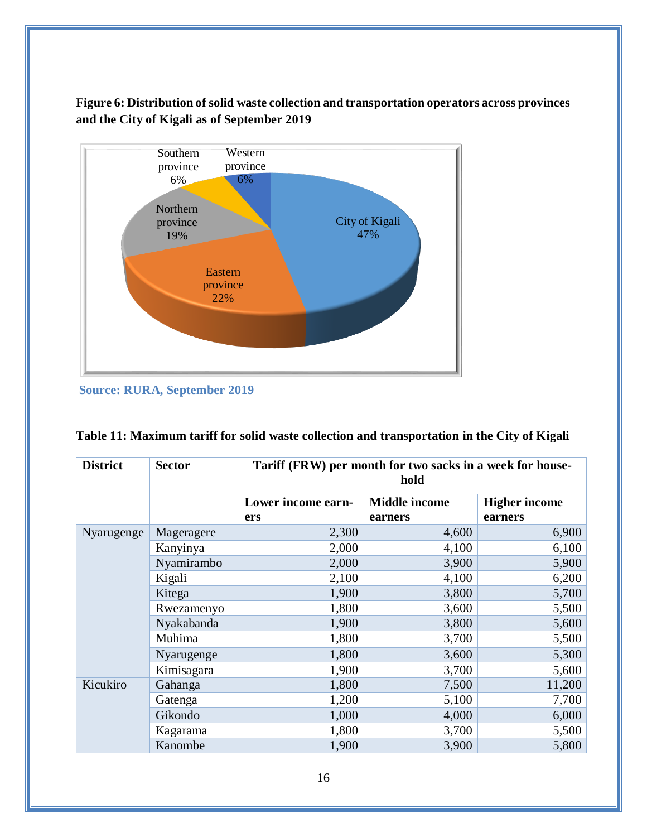<span id="page-18-1"></span>**Figure 6: Distribution of solid waste collection and transportation operators across provinces and the City of Kigali as of September 2019** 



**Source: RURA, September 2019**

| <b>District</b> | <b>Sector</b> |                    | Tariff (FRW) per month for two sacks in a week for house-<br>hold |                      |  |
|-----------------|---------------|--------------------|-------------------------------------------------------------------|----------------------|--|
|                 |               | Lower income earn- | <b>Middle income</b>                                              | <b>Higher income</b> |  |
|                 |               | ers                | earners                                                           | earners              |  |
| Nyarugenge      | Mageragere    | 2,300              | 4,600                                                             | 6,900                |  |
|                 | Kanyinya      | 2,000              | 4,100                                                             | 6,100                |  |
|                 | Nyamirambo    | 2,000              | 3,900                                                             | 5,900                |  |
|                 | Kigali        | 2,100              | 4,100                                                             | 6,200                |  |
|                 | Kitega        | 1,900              | 3,800                                                             | 5,700                |  |
|                 | Rwezamenyo    | 1,800              | 3,600                                                             | 5,500                |  |
|                 | Nyakabanda    | 1,900              | 3,800                                                             | 5,600                |  |
|                 | Muhima        | 1,800              | 3,700                                                             | 5,500                |  |
|                 | Nyarugenge    | 1,800              | 3,600                                                             | 5,300                |  |
|                 | Kimisagara    | 1,900              | 3,700                                                             | 5,600                |  |
| Kicukiro        | Gahanga       | 1,800              | 7,500                                                             | 11,200               |  |
|                 | Gatenga       | 1,200              | 5,100                                                             | 7,700                |  |
|                 | Gikondo       | 1,000              | 4,000                                                             | 6,000                |  |
|                 | Kagarama      | 1,800              | 3,700                                                             | 5,500                |  |
|                 | Kanombe       | 1,900              | 3,900                                                             | 5,800                |  |

<span id="page-18-0"></span>

|  |  |  |  | Table 11: Maximum tariff for solid waste collection and transportation in the City of Kigali |
|--|--|--|--|----------------------------------------------------------------------------------------------|
|--|--|--|--|----------------------------------------------------------------------------------------------|